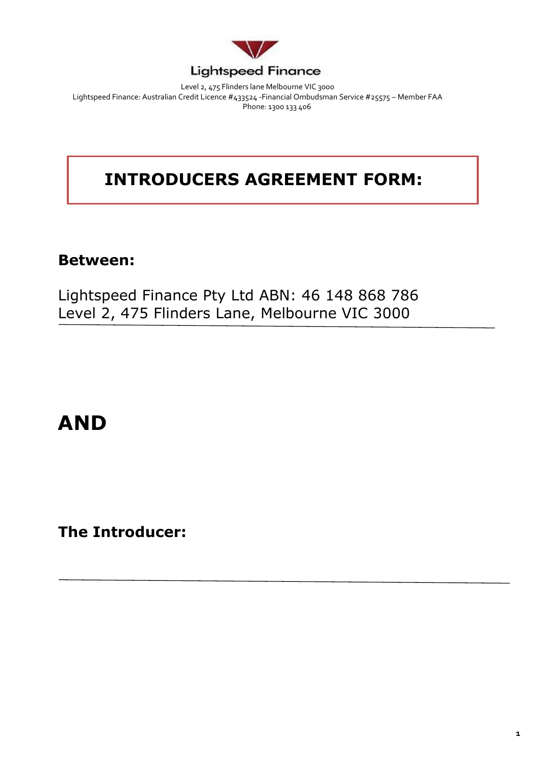

Level 2, 475 Flinders lane Melbourne VIC 3000 Lightspeed Finance: Australian Credit Licence #433524 -Financial Ombudsman Service #25575 – Member FAA Phone: 1300 133 406

## **INTRODUCERS AGREEMENT FORM:**

## **Between:**

Lightspeed Finance Pty Ltd ABN: 46 148 868 786 Level 2, 475 Flinders Lane, Melbourne VIC 3000

# **AND**

**The Introducer:**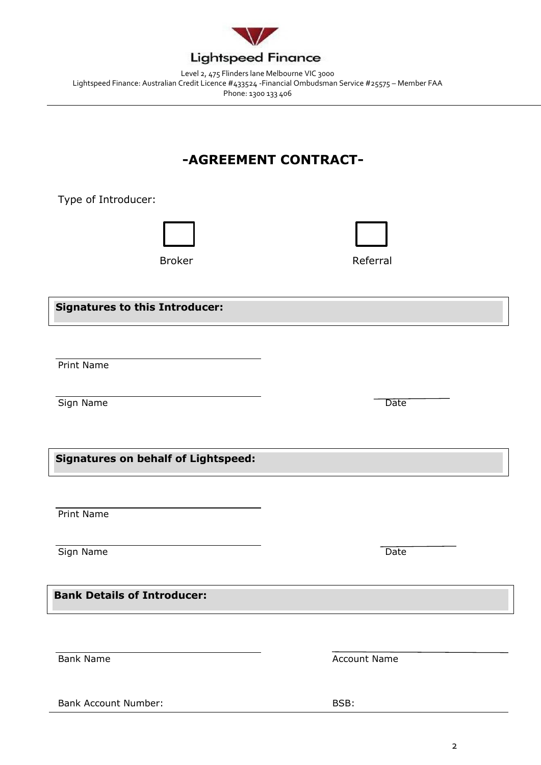

Level 2, 475 Flinders lane Melbourne VIC 3000 Lightspeed Finance: Australian Credit Licence #433524 -Financial Ombudsman Service #25575 – Member FAA Phone: 1300 133 406

### **-AGREEMENT CONTRACT-**

Type of Introducer:



Broker **Referral** 

**Signatures to this Introducer:**

Print Name

Sign Name Date

**Signatures on behalf of Lightspeed:**

Print Name

Sign Name Date

**Bank Details of Introducer:**

Bank Name **Account Name** Account Name

Bank Account Number: BSB:

2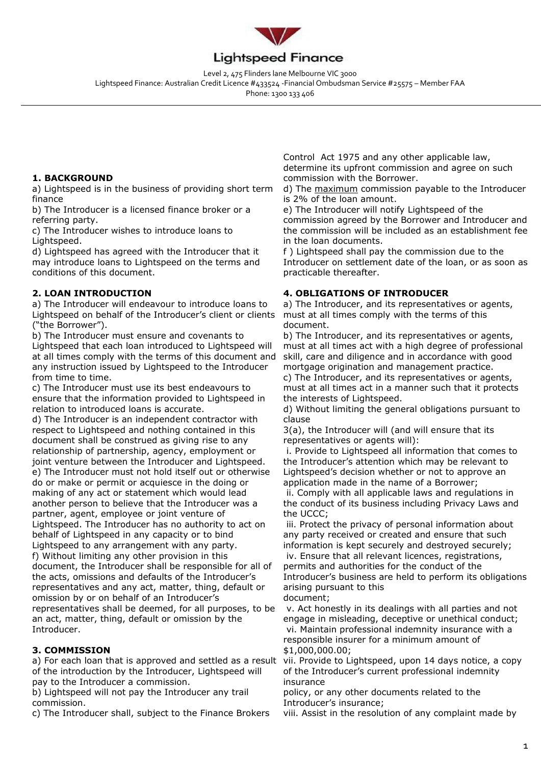

Level 2, 475 Flinders lane Melbourne VIC 3000 Lightspeed Finance: Australian Credit Licence #433524 -Financial Ombudsman Service #25575 – Member FAA

Phone: 1300 133 406

#### **1. BACKGROUND**

a) Lightspeed is in the business of providing short term finance

b) The Introducer is a licensed finance broker or a referring party.

c) The Introducer wishes to introduce loans to Lightspeed.

d) Lightspeed has agreed with the Introducer that it may introduce loans to Lightspeed on the terms and conditions of this document.

#### **2. LOAN INTRODUCTION**

a) The Introducer will endeavour to introduce loans to Lightspeed on behalf of the Introducer's client or clients ("the Borrower").

b) The Introducer must ensure and covenants to Lightspeed that each loan introduced to Lightspeed will at all times comply with the terms of this document and any instruction issued by Lightspeed to the Introducer from time to time.

c) The Introducer must use its best endeavours to ensure that the information provided to Lightspeed in relation to introduced loans is accurate.

d) The Introducer is an independent contractor with respect to Lightspeed and nothing contained in this document shall be construed as giving rise to any relationship of partnership, agency, employment or joint venture between the Introducer and Lightspeed. e) The Introducer must not hold itself out or otherwise do or make or permit or acquiesce in the doing or making of any act or statement which would lead another person to believe that the Introducer was a partner, agent, employee or joint venture of Lightspeed. The Introducer has no authority to act on behalf of Lightspeed in any capacity or to bind Lightspeed to any arrangement with any party. f) Without limiting any other provision in this document, the Introducer shall be responsible for all of the acts, omissions and defaults of the Introducer's representatives and any act, matter, thing, default or omission by or on behalf of an Introducer's representatives shall be deemed, for all purposes, to be an act, matter, thing, default or omission by the Introducer.

#### **3. COMMISSION**

a) For each loan that is approved and settled as a result of the introduction by the Introducer, Lightspeed will pay to the Introducer a commission.

b) Lightspeed will not pay the Introducer any trail commission.

c) The Introducer shall, subject to the Finance Brokers

Control Act 1975 and any other applicable law, determine its upfront commission and agree on such commission with the Borrower.

d) The maximum commission payable to the Introducer is 2% of the loan amount.

e) The Introducer will notify Lightspeed of the commission agreed by the Borrower and Introducer and the commission will be included as an establishment fee in the loan documents.

f ) Lightspeed shall pay the commission due to the Introducer on settlement date of the loan, or as soon as practicable thereafter.

#### **4. OBLIGATIONS OF INTRODUCER**

a) The Introducer, and its representatives or agents, must at all times comply with the terms of this document.

b) The Introducer, and its representatives or agents, must at all times act with a high degree of professional skill, care and diligence and in accordance with good mortgage origination and management practice.

c) The Introducer, and its representatives or agents, must at all times act in a manner such that it protects the interests of Lightspeed.

d) Without limiting the general obligations pursuant to clause

3(a), the Introducer will (and will ensure that its representatives or agents will):

i. Provide to Lightspeed all information that comes to the Introducer's attention which may be relevant to Lightspeed's decision whether or not to approve an application made in the name of a Borrower;

ii. Comply with all applicable laws and regulations in the conduct of its business including Privacy Laws and the UCCC;

iii. Protect the privacy of personal information about any party received or created and ensure that such information is kept securely and destroyed securely; iv. Ensure that all relevant licences, registrations, permits and authorities for the conduct of the Introducer's business are held to perform its obligations arising pursuant to this document;

v. Act honestly in its dealings with all parties and not engage in misleading, deceptive or unethical conduct; vi. Maintain professional indemnity insurance with a responsible insurer for a minimum amount of \$1,000,000.00;

vii. Provide to Lightspeed, upon 14 days notice, a copy of the Introducer's current professional indemnity insurance

policy, or any other documents related to the Introducer's insurance;

viii. Assist in the resolution of any complaint made by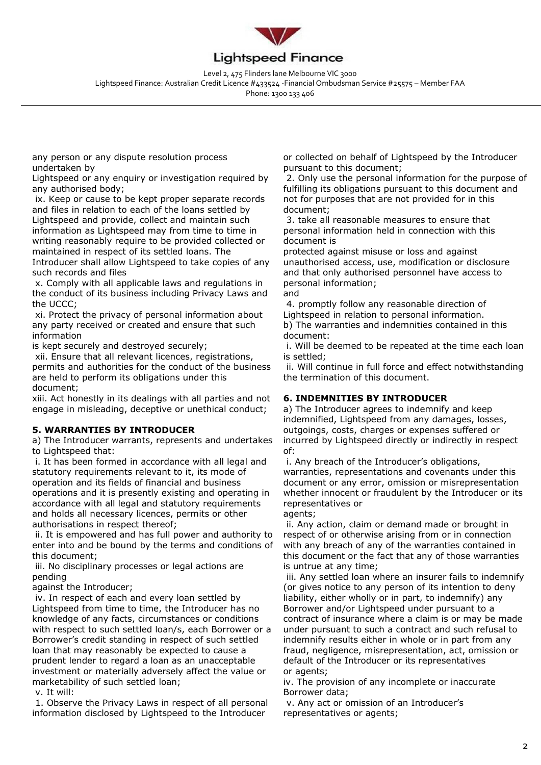

Level 2, 475 Flinders lane Melbourne VIC 3000 Lightspeed Finance: Australian Credit Licence #433524 -Financial Ombudsman Service #25575 – Member FAA

Phone: 1300 133 406

any person or any dispute resolution process undertaken by

Lightspeed or any enquiry or investigation required by any authorised body;

ix. Keep or cause to be kept proper separate records and files in relation to each of the loans settled by Lightspeed and provide, collect and maintain such information as Lightspeed may from time to time in writing reasonably require to be provided collected or maintained in respect of its settled loans. The Introducer shall allow Lightspeed to take copies of any such records and files

x. Comply with all applicable laws and regulations in the conduct of its business including Privacy Laws and the UCCC;

xi. Protect the privacy of personal information about any party received or created and ensure that such information

is kept securely and destroyed securely;

xii. Ensure that all relevant licences, registrations, permits and authorities for the conduct of the business are held to perform its obligations under this document;

xiii. Act honestly in its dealings with all parties and not engage in misleading, deceptive or unethical conduct;

#### **5. WARRANTIES BY INTRODUCER**

a) The Introducer warrants, represents and undertakes to Lightspeed that:

i. It has been formed in accordance with all legal and statutory requirements relevant to it, its mode of operation and its fields of financial and business operations and it is presently existing and operating in accordance with all legal and statutory requirements and holds all necessary licences, permits or other authorisations in respect thereof;

ii. It is empowered and has full power and authority to enter into and be bound by the terms and conditions of this document;

iii. No disciplinary processes or legal actions are pending

against the Introducer;

iv. In respect of each and every loan settled by Lightspeed from time to time, the Introducer has no knowledge of any facts, circumstances or conditions with respect to such settled loan/s, each Borrower or a Borrower's credit standing in respect of such settled loan that may reasonably be expected to cause a prudent lender to regard a loan as an unacceptable investment or materially adversely affect the value or marketability of such settled loan;

v. It will:

1. Observe the Privacy Laws in respect of all personal information disclosed by Lightspeed to the Introducer

or collected on behalf of Lightspeed by the Introducer pursuant to this document;

2. Only use the personal information for the purpose of fulfilling its obligations pursuant to this document and not for purposes that are not provided for in this document;

3. take all reasonable measures to ensure that personal information held in connection with this document is

protected against misuse or loss and against unauthorised access, use, modification or disclosure and that only authorised personnel have access to personal information;

and

4. promptly follow any reasonable direction of Lightspeed in relation to personal information. b) The warranties and indemnities contained in this document:

i. Will be deemed to be repeated at the time each loan is settled;

ii. Will continue in full force and effect notwithstanding the termination of this document.

#### **6. INDEMNITIES BY INTRODUCER**

a) The Introducer agrees to indemnify and keep indemnified, Lightspeed from any damages, losses, outgoings, costs, charges or expenses suffered or incurred by Lightspeed directly or indirectly in respect of:

i. Any breach of the Introducer's obligations, warranties, representations and covenants under this document or any error, omission or misrepresentation whether innocent or fraudulent by the Introducer or its representatives or

agents; ii. Any action, claim or demand made or brought in respect of or otherwise arising from or in connection with any breach of any of the warranties contained in this document or the fact that any of those warranties is untrue at any time;

iii. Any settled loan where an insurer fails to indemnify (or gives notice to any person of its intention to deny liability, either wholly or in part, to indemnify) any Borrower and/or Lightspeed under pursuant to a contract of insurance where a claim is or may be made under pursuant to such a contract and such refusal to indemnify results either in whole or in part from any fraud, negligence, misrepresentation, act, omission or default of the Introducer or its representatives or agents;

iv. The provision of any incomplete or inaccurate Borrower data;

v. Any act or omission of an Introducer's representatives or agents;